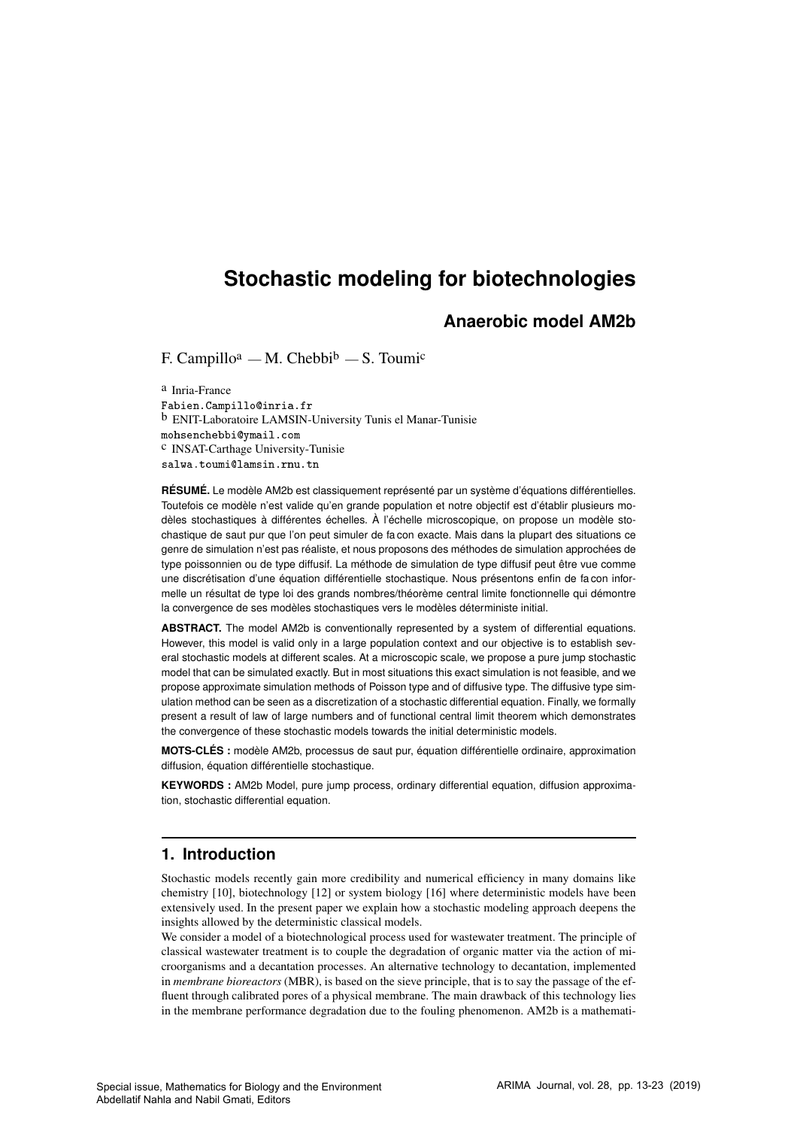# **Stochastic modeling for biotechnologies**

# **Anaerobic model AM2b**

F. Campillo<sup>a</sup> — M. Chebbi<sup>b</sup> — S. Toumi<sup>c</sup>

a Inria-France ❋❛❜✐❡♥✳❈❛♠♣✐❧❧♦❅✐♥-✐❛✳❢ b ENIT-Laboratoire LAMSIN-University Tunis el Manar-Tunisie mohsenchebbi@ymail.com c INSAT-Carthage University-Tunisie salwa.toumi@lamsin.rnu.tn

**RÉSUMÉ.** Le modèle AM2b est classiquement représenté par un système d'équations différentielles. Toutefois ce modèle n'est valide qu'en grande population et notre objectif est d'établir plusieurs modèles stochastiques à différentes échelles. À l'échelle microscopique, on propose un modèle stochastique de saut pur que l'on peut simuler de fa con exacte. Mais dans la plupart des situations ce genre de simulation n'est pas réaliste, et nous proposons des méthodes de simulation approchées de type poissonnien ou de type diffusif. La méthode de simulation de type diffusif peut être vue comme une discrétisation d'une équation différentielle stochastique. Nous présentons enfin de fa con informelle un résultat de type loi des grands nombres/théorème central limite fonctionnelle qui démontre la convergence de ses modèles stochastiques vers le modèles déterministe initial.

**ABSTRACT.** The model AM2b is conventionally represented by a system of differential equations. However, this model is valid only in a large population context and our objective is to establish several stochastic models at different scales. At a microscopic scale, we propose a pure jump stochastic model that can be simulated exactly. But in most situations this exact simulation is not feasible, and we propose approximate simulation methods of Poisson type and of diffusive type. The diffusive type simulation method can be seen as a discretization of a stochastic differential equation. Finally, we formally present a result of law of large numbers and of functional central limit theorem which demonstrates the convergence of these stochastic models towards the initial deterministic models.

**MOTS-CLÉS :** modèle AM2b, processus de saut pur, équation différentielle ordinaire, approximation diffusion, équation différentielle stochastique.

**KEYWORDS :** AM2b Model, pure jump process, ordinary differential equation, diffusion approximation, stochastic differential equation.

# **1. Introduction**

Stochastic models recently gain more credibility and numerical efficiency in many domains like chemistry [10], biotechnology [12] or system biology [16] where deterministic models have been extensively used. In the present paper we explain how a stochastic modeling approach deepens the insights allowed by the deterministic classical models.

We consider a model of a biotechnological process used for wastewater treatment. The principle of classical wastewater treatment is to couple the degradation of organic matter via the action of microorganisms and a decantation processes. An alternative technology to decantation, implemented in *membrane bioreactors* (MBR), is based on the sieve principle, that is to say the passage of the effluent through calibrated pores of a physical membrane. The main drawback of this technology lies in the membrane performance degradation due to the fouling phenomenon. AM2b is a mathemati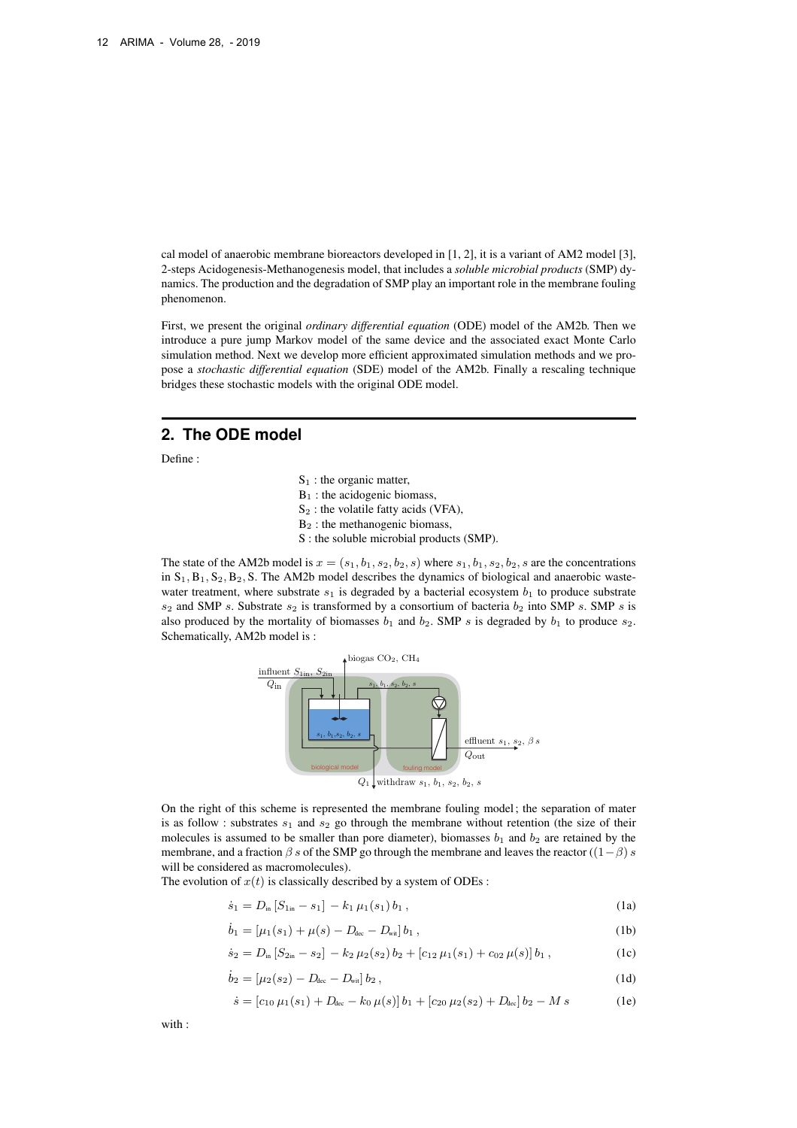cal model of anaerobic membrane bioreactors developed in [1, 2], it is a variant of AM2 model [3], 2-steps Acidogenesis-Methanogenesis model, that includes a *soluble microbial products* (SMP) dynamics. The production and the degradation of SMP play an important role in the membrane fouling phenomenon.

First, we present the original *ordinary differential equation* (ODE) model of the AM2b. Then we introduce a pure jump Markov model of the same device and the associated exact Monte Carlo simulation method. Next we develop more efficient approximated simulation methods and we propose a *stochastic differential equation* (SDE) model of the AM2b. Finally a rescaling technique bridges these stochastic models with the original ODE model.

# **2. The ODE model**

Define :

- $S_1$ : the organic matter,
- $B_1$ : the acidogenic biomass,
- $S_2$ : the volatile fatty acids (VFA),
- B<sup>2</sup> : the methanogenic biomass,
- S : the soluble microbial products (SMP).

The state of the AM2b model is  $x = (s_1, b_1, s_2, b_2, s)$  where  $s_1, b_1, s_2, b_2, s$  are the concentrations in  $S_1, B_1, S_2, B_2, S$ . The AM2b model describes the dynamics of biological and anaerobic wastewater treatment, where substrate  $s_1$  is degraded by a bacterial ecosystem  $b_1$  to produce substrate  $s_2$  and SMP s. Substrate  $s_2$  is transformed by a consortium of bacteria  $b_2$  into SMP s. SMP s is also produced by the mortality of biomasses  $b_1$  and  $b_2$ . SMP s is degraded by  $b_1$  to produce  $s_2$ . Schematically, AM2b model is :



On the right of this scheme is represented the membrane fouling model; the separation of mater is as follow : substrates  $s_1$  and  $s_2$  go through the membrane without retention (the size of their molecules is assumed to be smaller than pore diameter), biomasses  $b_1$  and  $b_2$  are retained by the membrane, and a fraction  $\beta$  s of the SMP go through the membrane and leaves the reactor ((1- $\beta$ ) s will be considered as macromolecules).

The evolution of  $x(t)$  is classically described by a system of ODEs :

$$
\dot{s}_1 = D_{\rm in} \left[ S_{1\rm in} - s_1 \right] - k_1 \, \mu_1(s_1) \, b_1 \,, \tag{1a}
$$

$$
\dot{b}_1 = [\mu_1(s_1) + \mu(s) - D_{\text{dec}} - D_{\text{wit}}] b_1 , \qquad (1b)
$$

$$
\dot{s}_2 = D_{\rm in} \left[ S_{2\rm in} - s_2 \right] - k_2 \, \mu_2(s_2) \, b_2 + \left[ c_{12} \, \mu_1(s_1) + c_{02} \, \mu(s) \right] b_1 \,, \tag{1c}
$$

$$
\dot{b}_2 = [\mu_2(s_2) - D_{\text{dec}} - D_{\text{wit}}] b_2, \qquad (1d)
$$

$$
\dot{s} = [c_{10} \,\mu_1(s_1) + D_{\text{dec}} - k_0 \,\mu(s)] \, b_1 + [c_{20} \,\mu_2(s_2) + D_{\text{dec}}] \, b_2 - M \, s \tag{1e}
$$

with :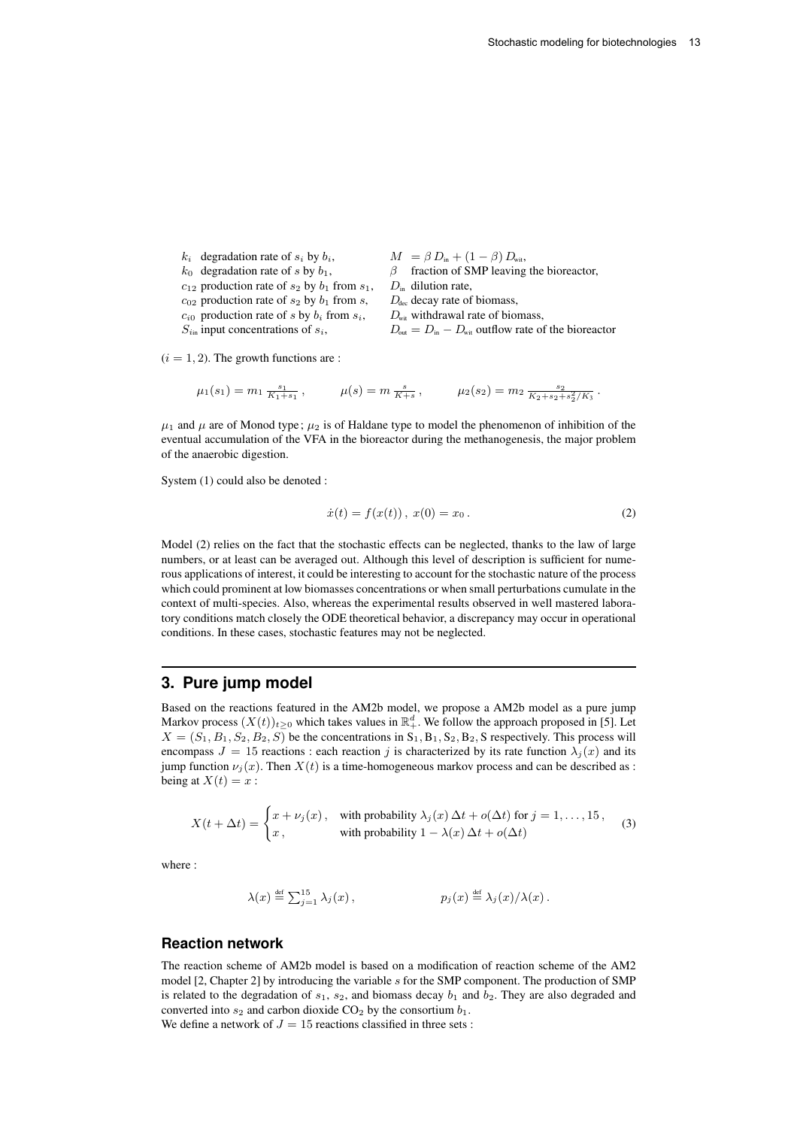$k_i$  degradation rate of  $s_i$  by  $b_i$ ,  $M = \beta D_{in} + (1 - \beta) D_{\text{wit}}$ ,<br>  $k_0$  degradation rate of  $s$  by  $b_1$ ,  $\beta$  fraction of SMP leaving  $\beta$  fraction of SMP leaving the bioreactor,  $c_{12}$  production rate of  $s_2$  by  $b_1$  from  $s_1$ ,  $D_{in}$  dilution rate,  $c_{02}$  production rate of  $s_2$  by  $b_1$  from s,  $D_{\text{dec}}$  decay rate of biomass,  $c_{i0}$  production rate of s by  $b_i$  from  $s_i$ ,  $D_{\text{wit}}$  withdrawal rate of biomass,  $S_{i_{\text{in}}}$  input concentrations of  $s_i$ ,  $D_{\text{out}} = D_{\text{in}} - D_{\text{wit}}$  outflow rate of the bioreactor

 $(i = 1, 2)$ . The growth functions are :

$$
\mu_1(s_1) = m_1 \frac{s_1}{K_1 + s_1}, \qquad \mu(s) = m \frac{s}{K + s}, \qquad \mu_2(s_2) = m_2 \frac{s_2}{K_2 + s_2 + s_2^2 / K_3}.
$$

 $\mu_1$  and  $\mu$  are of Monod type;  $\mu_2$  is of Haldane type to model the phenomenon of inhibition of the eventual accumulation of the VFA in the bioreactor during the methanogenesis, the major problem of the anaerobic digestion.

System (1) could also be denoted :

$$
\dot{x}(t) = f(x(t)), \ x(0) = x_0. \tag{2}
$$

Model (2) relies on the fact that the stochastic effects can be neglected, thanks to the law of large numbers, or at least can be averaged out. Although this level of description is sufficient for numerous applications of interest, it could be interesting to account for the stochastic nature of the process which could prominent at low biomasses concentrations or when small perturbations cumulate in the context of multi-species. Also, whereas the experimental results observed in well mastered laboratory conditions match closely the ODE theoretical behavior, a discrepancy may occur in operational conditions. In these cases, stochastic features may not be neglected.

### **3. Pure jump model**

Based on the reactions featured in the AM2b model, we propose a AM2b model as a pure jump Markov process  $(X(t))_{t\geq0}$  which takes values in  $\mathbb{R}^d_+$ . We follow the approach proposed in [5]. Let  $X = (S_1, B_1, S_2, B_2, S)$  be the concentrations in  $S_1, B_1, S_2, B_2, S$  respectively. This process will encompass  $J = 15$  reactions : each reaction j is characterized by its rate function  $\lambda_i(x)$  and its jump function  $\nu_i(x)$ . Then  $X(t)$  is a time-homogeneous markov process and can be described as : being at  $X(t) = x$ :

$$
X(t + \Delta t) = \begin{cases} x + \nu_j(x), & \text{with probability } \lambda_j(x) \, \Delta t + o(\Delta t) \text{ for } j = 1, \dots, 15, \\ x, & \text{with probability } 1 - \lambda(x) \, \Delta t + o(\Delta t) \end{cases}
$$
(3)

where :

$$
\lambda(x) \stackrel{\text{def}}{=} \sum_{j=1}^{15} \lambda_j(x) , \qquad \qquad p_j(x) \stackrel{\text{def}}{=} \lambda_j(x) / \lambda(x) .
$$

### **Reaction network**

The reaction scheme of AM2b model is based on a modification of reaction scheme of the AM2 model [2, Chapter 2] by introducing the variable s for the SMP component. The production of SMP is related to the degradation of  $s_1$ ,  $s_2$ , and biomass decay  $b_1$  and  $b_2$ . They are also degraded and converted into  $s_2$  and carbon dioxide  $CO_2$  by the consortium  $b_1$ . We define a network of  $J = 15$  reactions classified in three sets :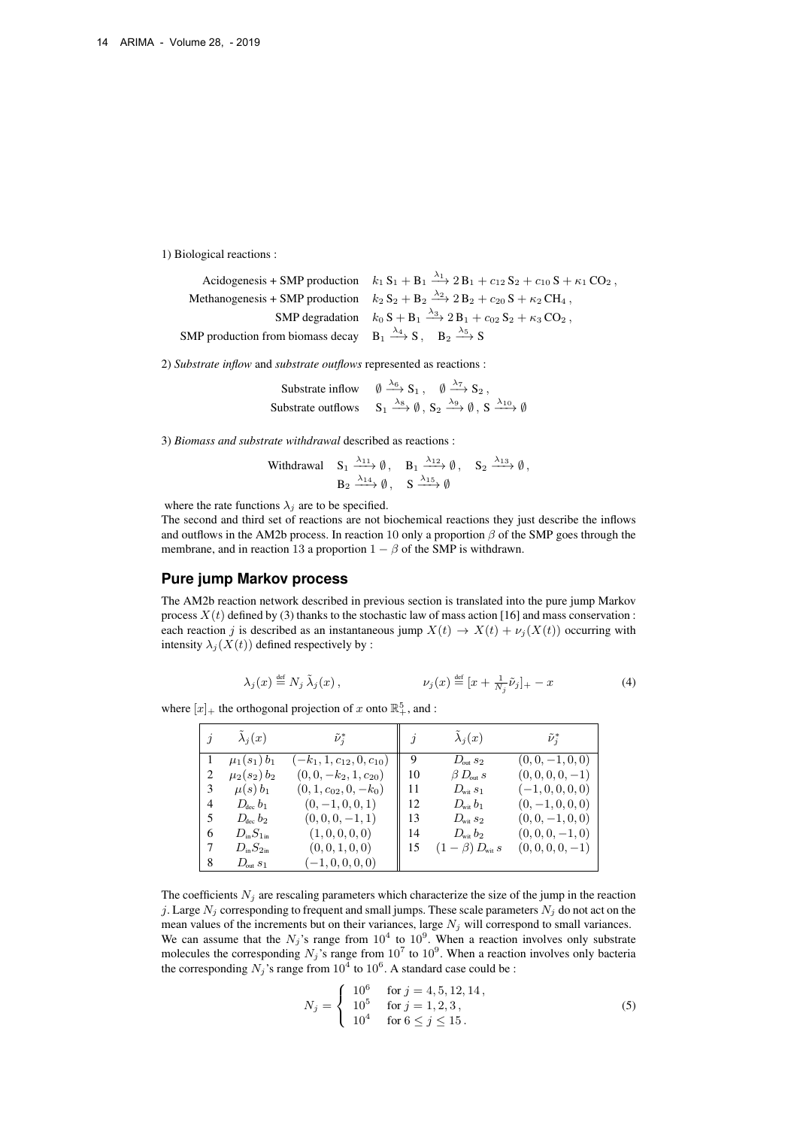1) Biological reactions :

Acidogenesis + SMP production  $k_1 S_1 + B_1 \xrightarrow{\lambda_1} 2 B_1 + c_{12} S_2 + c_{10} S + \kappa_1 CO_2$ , Methanogenesis + SMP production  $k_2 S_2 + B_2 \stackrel{\lambda_2}{\longrightarrow} 2 B_2 + c_{20} S + \kappa_2 C H_4$ , SMP degradation  $k_0 S + B_1 \xrightarrow{\lambda_3} 2B_1 + c_{02} S_2 + \kappa_3 CO_2$ , SMP production from biomass decay  $B_1 \xrightarrow{\lambda_4} S$ ,  $B_2 \xrightarrow{\lambda_5} S$ 

2) *Substrate inflow* and *substrate outflows* represented as reactions :

Substrate inflow  $\emptyset \stackrel{\lambda_6}{\longrightarrow} S_1$ ,  $\emptyset \stackrel{\lambda_7}{\longrightarrow} S_2$ , Substrate outflows  $S_1 \xrightarrow{\lambda_8} \emptyset$ ,  $S_2 \xrightarrow{\lambda_9} \emptyset$ ,  $S \xrightarrow{\lambda_{10}} \emptyset$ 

3) *Biomass and substrate withdrawal* described as reactions :

Without 
$$
S_1 \xrightarrow{\lambda_{11}} \emptyset
$$
,  $B_1 \xrightarrow{\lambda_{12}} \emptyset$ ,  $S_2 \xrightarrow{\lambda_{13}} \emptyset$ ,  
 $B_2 \xrightarrow{\lambda_{14}} \emptyset$ ,  $S \xrightarrow{\lambda_{15}} \emptyset$ 

where the rate functions  $\lambda_j$  are to be specified.

The second and third set of reactions are not biochemical reactions they just describe the inflows and outflows in the AM2b process. In reaction 10 only a proportion  $\beta$  of the SMP goes through the membrane, and in reaction 13 a proportion  $1 - \beta$  of the SMP is withdrawn.

#### **Pure jump Markov process**

The AM2b reaction network described in previous section is translated into the pure jump Markov process  $X(t)$  defined by (3) thanks to the stochastic law of mass action [16] and mass conservation : each reaction j is described as an instantaneous jump  $X(t) \to X(t) + \nu_i(X(t))$  occurring with intensity  $\lambda_i(X(t))$  defined respectively by :

$$
\lambda_j(x) \stackrel{\text{def}}{=} N_j \tilde{\lambda}_j(x), \qquad \qquad \nu_j(x) \stackrel{\text{def}}{=} [x + \frac{1}{N_j} \tilde{\nu}_j]_+ - x \tag{4}
$$

where  $[x]_+$  the orthogonal projection of x onto  $\mathbb{R}^5_+$ , and :

|   | $\lambda_i(x)$          | $\tilde{\nu}_i^*$            | j  | $\lambda_j(x)$                 | $\tilde{\nu}_i^*$  |
|---|-------------------------|------------------------------|----|--------------------------------|--------------------|
|   | $\mu_1(s_1) b_1$        | $-k_1, 1, c_{12}, 0, c_{10}$ | 9  | $D_{\text{out}} s_2$           | $(0,0,-1,0,0)$     |
| 2 | $\mu_2(s_2) b_2$        | $(0,0,-k_2,1,c_{20})$        | 10 | $\beta D_{\text{out}} s$       | $(0,0,0,0,-1)$     |
| 3 | $\mu(s) b_1$            | $(0, 1, c_{02}, 0, -k_0)$    | 11 | $D_{\text{wit}}s_1$            | $(-1, 0, 0, 0, 0)$ |
| 4 | $D_{\text{dec}} b_1$    | $(0, -1, 0, 0, 1)$           | 12 | $D_{\text{wit}} b_1$           | $(0,-1,0,0,0)$     |
| 5 | $D_{\rm dec}$ $b_2$     | $(0,0,0,-1,1)$               | 13 | $D_{\text{wit}} s_2$           | $(0,0,-1,0,0)$     |
| 6 | $D_{\rm in}S_{\rm 1in}$ | (1, 0, 0, 0, 0)              | 14 | $D_{\rm wit}$ $b_2$            | $(0,0,0,-1,0)$     |
| 7 | $D_{\rm in}S_{\rm 2in}$ | (0, 0, 1, 0, 0)              | 15 | $(1-\beta)\,D_{\!\rm{wit}}\,s$ | $(0,0,0,0,-1)$     |
| 8 | $D_{\text{out}} s_1$    | $(-1, 0, 0, 0, 0)$           |    |                                |                    |

The coefficients  $N_j$  are rescaling parameters which characterize the size of the jump in the reaction j. Large  $N_i$  corresponding to frequent and small jumps. These scale parameters  $N_i$  do not act on the mean values of the increments but on their variances, large  $N_j$  will correspond to small variances. We can assume that the  $N_j$ 's range from  $10^4$  to  $10^9$ . When a reaction involves only substrate molecules the corresponding  $N_j$ 's range from  $10^7$  to  $10^9$ . When a reaction involves only bacteria the corresponding  $N_j$ 's range from  $10^4$  to  $10^6$ . A standard case could be :

$$
N_j = \begin{cases} 10^6 & \text{for } j = 4, 5, 12, 14, \\ 10^5 & \text{for } j = 1, 2, 3, \\ 10^4 & \text{for } 6 \le j \le 15. \end{cases}
$$
 (5)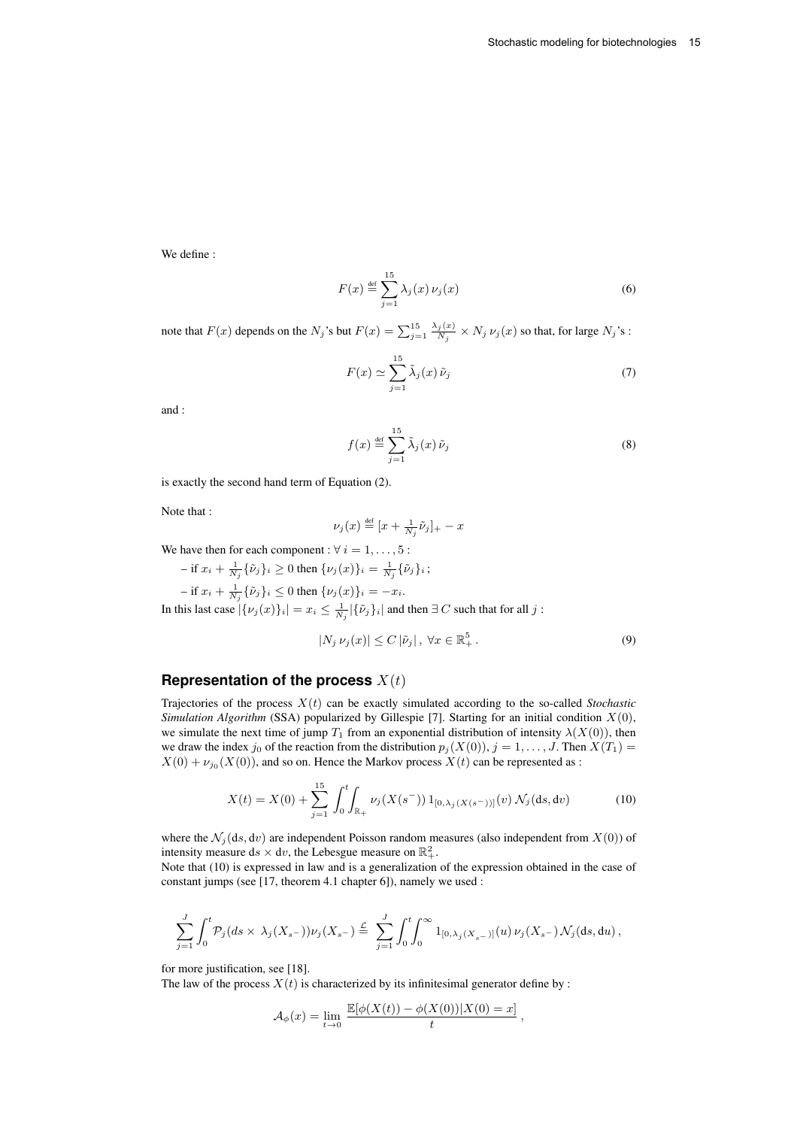We define :

$$
F(x) \stackrel{\text{def}}{=} \sum_{j=1}^{15} \lambda_j(x) \nu_j(x) \tag{6}
$$

note that  $F(x)$  depends on the  $N_j$ 's but  $F(x) = \sum_{j=1}^{15} \frac{\lambda_j(x)}{N_j}$  $\frac{j(x)}{N_j} \times N_j \nu_j(x)$  so that, for large  $N_j$ 's :

$$
F(x) \simeq \sum_{j=1}^{15} \tilde{\lambda}_j(x) \tilde{\nu}_j
$$
 (7)

and :

$$
f(x) \stackrel{\text{def}}{=} \sum_{j=1}^{15} \tilde{\lambda}_j(x) \tilde{\nu}_j
$$
 (8)

is exactly the second hand term of Equation (2).

Note that :

$$
\nu_j(x) \stackrel{\text{def}}{=} [x + \frac{1}{N_j}\tilde{\nu}_j]_+ - x
$$

We have then for each component :  $\forall i = 1, \ldots, 5$  :

 $-$  if  $x_i + \frac{1}{N_j} \{\tilde{\nu}_j\}_i \ge 0$  then  $\{\nu_j(x)\}_i = \frac{1}{N_j} \{\tilde{\nu}_j\}_i$ ; – if  $x_i + \frac{1}{N_j} \{ \tilde{\nu}_j \}_i \leq 0$  then  $\{ \nu_j(x) \}_i = -x_i$ .

In this last case  $|\{\nu_j(x)\}_i| = x_i \le \frac{1}{N_j} |\{\tilde{\nu}_j\}_i|$  and then  $\exists C$  such that for all  $j$ :

$$
|N_j \nu_j(x)| \le C |\tilde{\nu}_j|, \ \forall x \in \mathbb{R}_+^5. \tag{9}
$$

## **Representation of the process**  $X(t)$

Trajectories of the process  $X(t)$  can be exactly simulated according to the so-called *Stochastic Simulation Algorithm* (SSA) popularized by Gillespie [7]. Starting for an initial condition X(0), we simulate the next time of jump  $T_1$  from an exponential distribution of intensity  $\lambda(X(0))$ , then we draw the index  $j_0$  of the reaction from the distribution  $p_i(X(0)), j = 1, \ldots, J$ . Then  $X(T_1)$  $X(0) + \nu_{j_0}(X(0))$ , and so on. Hence the Markov process  $X(t)$  can be represented as :

$$
X(t) = X(0) + \sum_{j=1}^{15} \int_0^t \int_{\mathbb{R}_+} \nu_j(X(s^-)) 1_{[0,\lambda_j(X(s^-))]}(v) \, \mathcal{N}_j(ds, dv) \tag{10}
$$

where the  $\mathcal{N}_j(ds, dv)$  are independent Poisson random measures (also independent from  $X(0)$ ) of intensity measure ds  $\times$  dv, the Lebesgue measure on  $\mathbb{R}^2_+$ .

Note that (10) is expressed in law and is a generalization of the expression obtained in the case of constant jumps (see [17, theorem 4.1 chapter 6]), namely we used :

$$
\sum_{j=1}^J \int_0^t \mathcal{P}_j(ds \times \lambda_j(X_{s^-})) \nu_j(X_{s^-}) \stackrel{\mathcal{L}}{=} \ \sum_{j=1}^J \int_0^t \! \! \int_0^\infty \mathbf{1}_{[0,\lambda_j(X_{s^-})]}(u) \, \nu_j(X_{s^-}) \mathcal{N}_j(\mathrm{d} s, \mathrm{d} u) \, ,
$$

for more justification, see [18].

The law of the process  $X(t)$  is characterized by its infinitesimal generator define by :

$$
\mathcal{A}_{\phi}(x) = \lim_{t \to 0} \frac{\mathbb{E}[\phi(X(t)) - \phi(X(0))|X(0) = x]}{t},
$$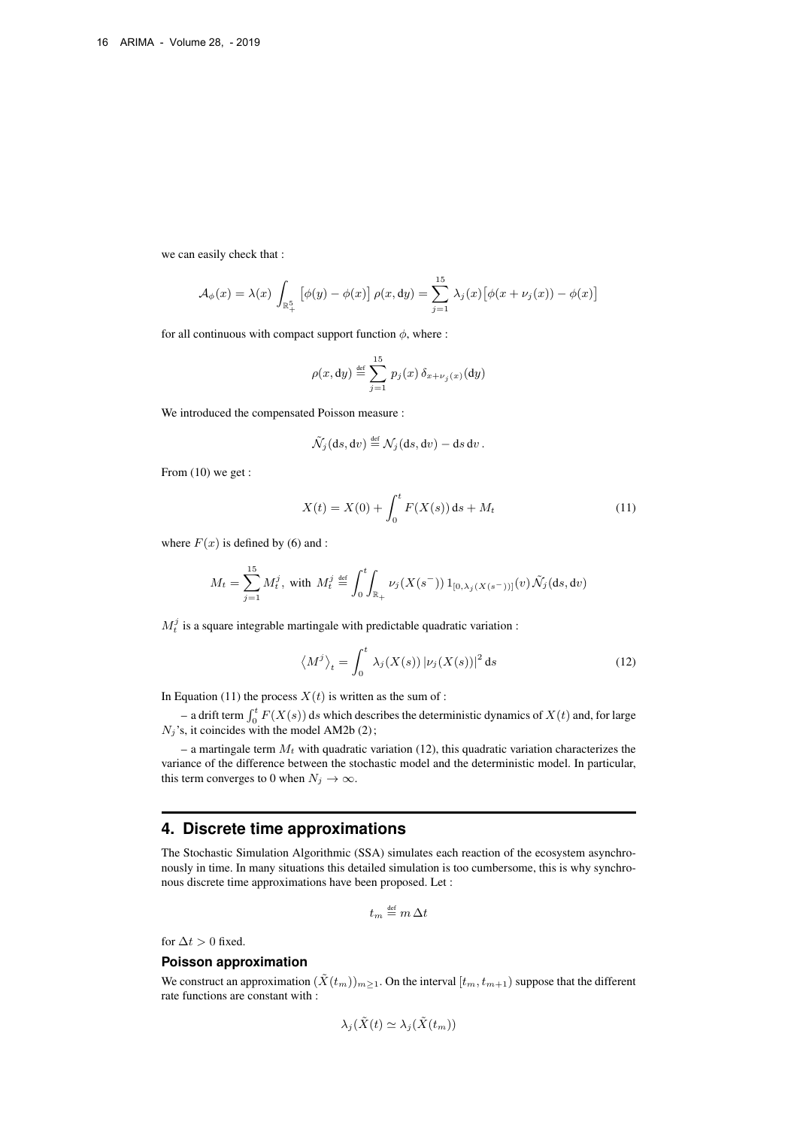we can easily check that :

$$
\mathcal{A}_{\phi}(x) = \lambda(x) \int_{\mathbb{R}^5_+} \left[ \phi(y) - \phi(x) \right] \rho(x, \mathrm{d}y) = \sum_{j=1}^{15} \lambda_j(x) \left[ \phi(x + \nu_j(x)) - \phi(x) \right]
$$

for all continuous with compact support function  $\phi$ , where :

$$
\rho(x,\mathrm{d}y)\stackrel{\text{def}}{=}\sum_{j=1}^{15}p_j(x)\,\delta_{x+\nu_j(x)}(\mathrm{d}y)
$$

We introduced the compensated Poisson measure :

$$
\widetilde{\mathcal{N}}_j(ds, dv) \stackrel{\text{def}}{=} \mathcal{N}_j(ds, dv) - ds dv.
$$

From  $(10)$  we get :

$$
X(t) = X(0) + \int_0^t F(X(s)) ds + M_t
$$
\n(11)

where  $F(x)$  is defined by (6) and :

$$
M_t = \sum_{j=1}^{15} M_t^j
$$
, with  $M_t^j \stackrel{\text{def}}{=} \int_0^t \int_{\mathbb{R}_+} \nu_j(X(s^-)) 1_{[0,\lambda_j(X(s^-))]}(v) \tilde{\mathcal{N}}_j(ds, dv)$ 

 $M_t^j$  is a square integrable martingale with predictable quadratic variation :

$$
\langle M^j \rangle_t = \int_0^t \lambda_j(X(s)) |\nu_j(X(s))|^2 ds \tag{12}
$$

In Equation (11) the process  $X(t)$  is written as the sum of :

– a drift term  $\int_0^t F(X(s))$  ds which describes the deterministic dynamics of  $X(t)$  and, for large  $N_j$ 's, it coincides with the model AM2b (2);

– a martingale term  $M_t$  with quadratic variation (12), this quadratic variation characterizes the variance of the difference between the stochastic model and the deterministic model. In particular, this term converges to 0 when  $N_j \to \infty$ .

## **4. Discrete time approximations**

The Stochastic Simulation Algorithmic (SSA) simulates each reaction of the ecosystem asynchronously in time. In many situations this detailed simulation is too cumbersome, this is why synchronous discrete time approximations have been proposed. Let :

$$
t_m \stackrel{\text{\tiny def}}{=} m \, \Delta t
$$

for  $\Delta t > 0$  fixed.

#### **Poisson approximation**

We construct an approximation  $(\tilde{X}(t_m))_{m\geq 1}$ . On the interval  $[t_m, t_{m+1})$  suppose that the different rate functions are constant with :

$$
\lambda_j(\tilde{X}(t) \simeq \lambda_j(\tilde{X}(t_m))
$$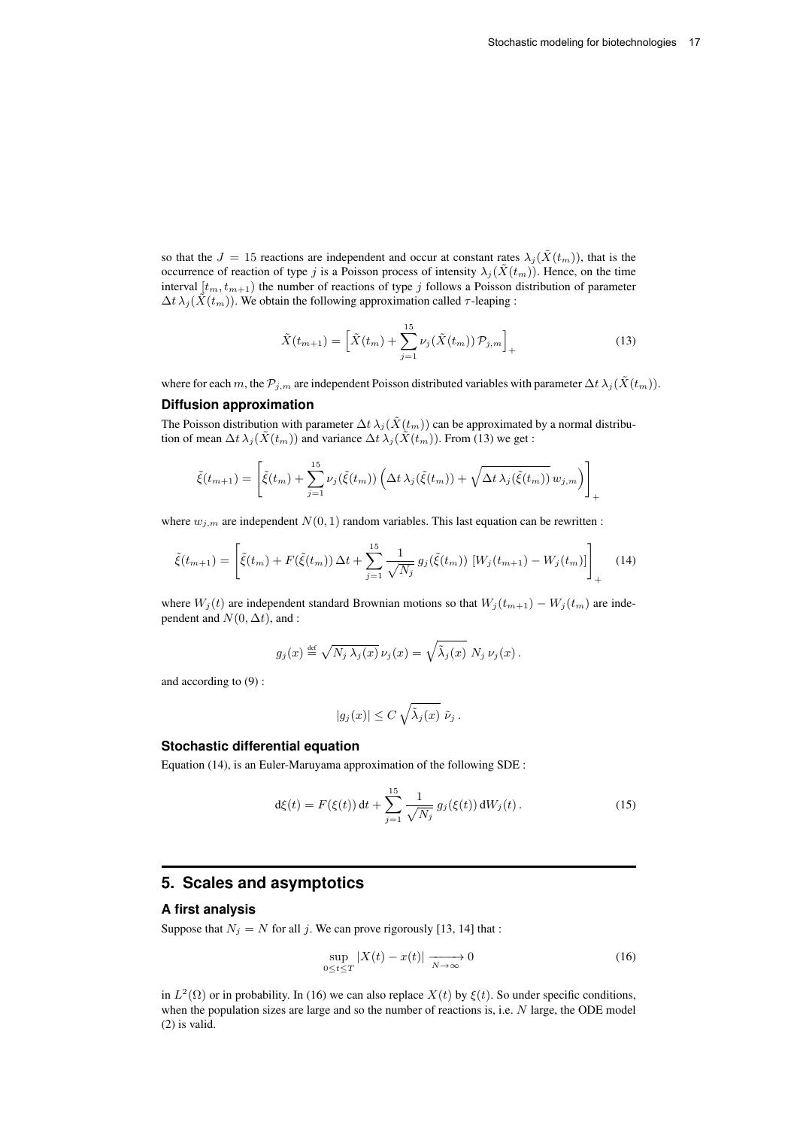+

so that the  $J = 15$  reactions are independent and occur at constant rates  $\lambda_j(\tilde{X}(t_m))$ , that is the occurrence of reaction of type j is a Poisson process of intensity  $\lambda_j(\tilde{X}(t_m))$ . Hence, on the time interval  $[t_m, t_{m+1})$  the number of reactions of type j follows a Poisson distribution of parameter  $\Delta t \lambda_j(\tilde{X}(t_m))$ . We obtain the following approximation called  $\tau$ -leaping :

$$
\tilde{X}(t_{m+1}) = \left[ \tilde{X}(t_m) + \sum_{j=1}^{15} \nu_j(\tilde{X}(t_m)) \mathcal{P}_{j,m} \right]_+ \tag{13}
$$

where for each m, the  $\mathcal{P}_{j,m}$  are independent Poisson distributed variables with parameter  $\Delta t \lambda_j(\tilde{X}(t_m))$ . **Diffusion approximation**

The Poisson distribution with parameter  $\Delta t \lambda_j(\tilde{X}(t_m))$  can be approximated by a normal distribution of mean  $\Delta t \lambda_j(\tilde{X}(t_m))$  and variance  $\Delta t \lambda_j(\tilde{X}(t_m))$ . From (13) we get :

$$
\tilde{\xi}(t_{m+1}) = \left[ \tilde{\xi}(t_m) + \sum_{j=1}^{15} \nu_j(\tilde{\xi}(t_m)) \left( \Delta t \lambda_j(\tilde{\xi}(t_m)) + \sqrt{\Delta t \lambda_j(\tilde{\xi}(t_m))} \, w_{j,m} \right) \right]
$$

where  $w_{i,m}$  are independent  $N(0, 1)$  random variables. This last equation can be rewritten :

$$
\tilde{\xi}(t_{m+1}) = \left[ \tilde{\xi}(t_m) + F(\tilde{\xi}(t_m)) \Delta t + \sum_{j=1}^{15} \frac{1}{\sqrt{N_j}} g_j(\tilde{\xi}(t_m)) \left[ W_j(t_{m+1}) - W_j(t_m) \right] \right]_+ \tag{14}
$$

where  $W_j(t)$  are independent standard Brownian motions so that  $W_j(t_{m+1}) - W_j(t_m)$  are independent and  $N(0, \Delta t)$ , and :

$$
g_j(x) \stackrel{\text{def}}{=} \sqrt{N_j \lambda_j(x)} \, \nu_j(x) = \sqrt{\tilde{\lambda}_j(x)} \, N_j \, \nu_j(x) \, .
$$

and according to (9) :

$$
|g_j(x)| \leq C \sqrt{\tilde{\lambda}_j(x)} \tilde{\nu}_j.
$$

#### **Stochastic differential equation**

Equation (14), is an Euler-Maruyama approximation of the following SDE :

$$
d\xi(t) = F(\xi(t)) dt + \sum_{j=1}^{15} \frac{1}{\sqrt{N_j}} g_j(\xi(t)) dW_j(t).
$$
 (15)

## **5. Scales and asymptotics**

#### **A first analysis**

Suppose that  $N_j = N$  for all j. We can prove rigorously [13, 14] that :

$$
\sup_{0 \le t \le T} |X(t) - x(t)| \xrightarrow[N \to \infty]{} 0 \tag{16}
$$

in  $L^2(\Omega)$  or in probability. In (16) we can also replace  $X(t)$  by  $\xi(t)$ . So under specific conditions, when the population sizes are large and so the number of reactions is, i.e. N large, the ODE model (2) is valid.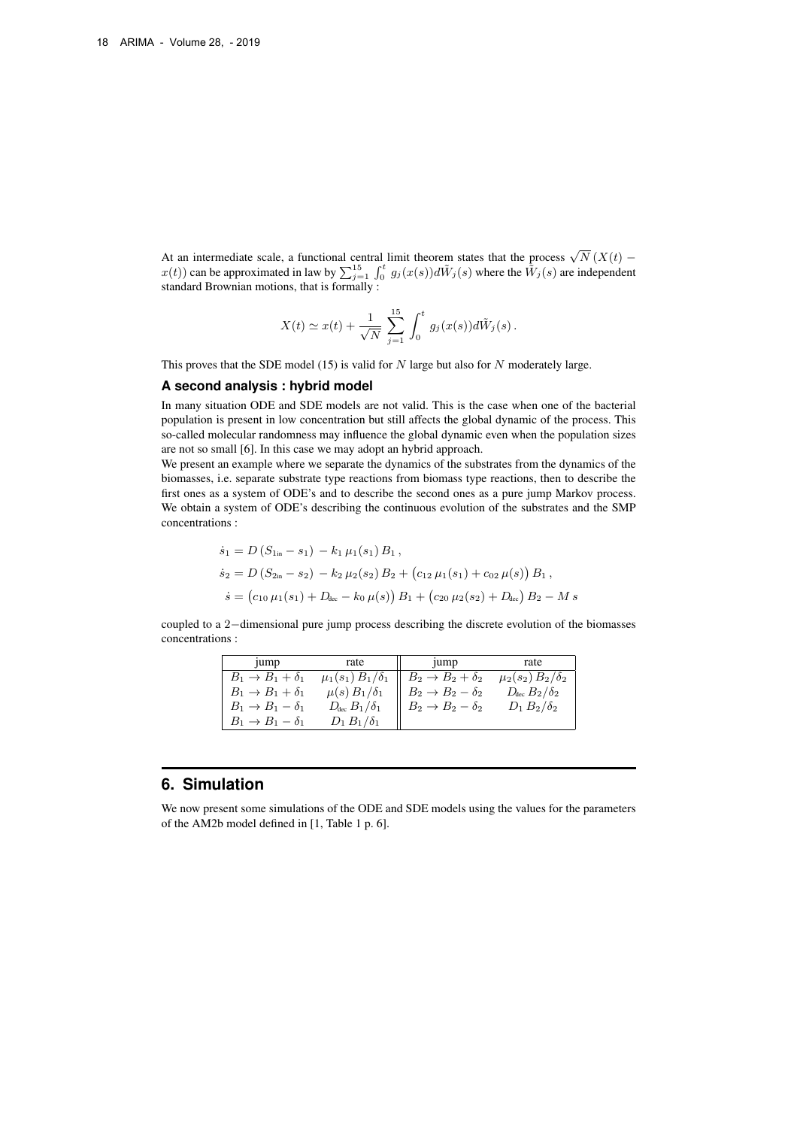At an intermediate scale, a functional central limit theorem states that the process  $\sqrt{N}(X(t)$  $x(t)$ ) can be approximated in law by  $\sum_{j=1}^{15} \int_0^t g_j(x(s)) d\tilde{W}_j(s)$  where the  $\tilde{W}_j(s)$  are independent standard Brownian motions, that is formally :

$$
X(t) \simeq x(t) + \frac{1}{\sqrt{N}} \sum_{j=1}^{15} \int_0^t g_j(x(s)) d\tilde{W}_j(s) .
$$

This proves that the SDE model (15) is valid for  $N$  large but also for  $N$  moderately large.

#### **A second analysis : hybrid model**

In many situation ODE and SDE models are not valid. This is the case when one of the bacterial population is present in low concentration but still affects the global dynamic of the process. This so-called molecular randomness may influence the global dynamic even when the population sizes are not so small [6]. In this case we may adopt an hybrid approach.

We present an example where we separate the dynamics of the substrates from the dynamics of the biomasses, i.e. separate substrate type reactions from biomass type reactions, then to describe the first ones as a system of ODE's and to describe the second ones as a pure jump Markov process. We obtain a system of ODE's describing the continuous evolution of the substrates and the SMP concentrations :

$$
\begin{aligned}\n\dot{s}_1 &= D\left(S_{1\text{in}} - s_1\right) - k_1 \,\mu_1(s_1) \, B_1 \,, \\
\dot{s}_2 &= D\left(S_{2\text{in}} - s_2\right) - k_2 \,\mu_2(s_2) \, B_2 + \left(c_{12} \,\mu_1(s_1) + c_{02} \,\mu(s)\right) \, B_1 \,, \\
\dot{s} &= \left(c_{10} \,\mu_1(s_1) + D_{\text{dec}} - k_0 \,\mu(s)\right) \, B_1 + \left(c_{20} \,\mu_2(s_2) + D_{\text{dec}}\right) \, B_2 - M \, s\n\end{aligned}
$$

coupled to a 2−dimensional pure jump process describing the discrete evolution of the biomasses concentrations :

| 1ump                             | rate                          | 1ump                             | rate                          |
|----------------------------------|-------------------------------|----------------------------------|-------------------------------|
| $B_1 \rightarrow B_1 + \delta_1$ | $\mu_1(s_1) B_1/\delta_1$     | $B_2 \rightarrow B_2 + \delta_2$ | $\mu_2(s_2) B_2/\delta_2$     |
| $B_1 \rightarrow B_1 + \delta_1$ | $\mu(s) B_1/\delta_1$         | $B_2 \rightarrow B_2 - \delta_2$ | $D_{\text{dec}} B_2/\delta_2$ |
| $B_1 \rightarrow B_1 - \delta_1$ | $D_{\text{dec}} B_1/\delta_1$ | $B_2 \rightarrow B_2 - \delta_2$ | $D_1 B_2/\delta_2$            |
| $B_1 \rightarrow B_1 - \delta_1$ | $D_1 B_1/\delta_1$            |                                  |                               |

# **6. Simulation**

We now present some simulations of the ODE and SDE models using the values for the parameters of the AM2b model defined in [1, Table 1 p. 6].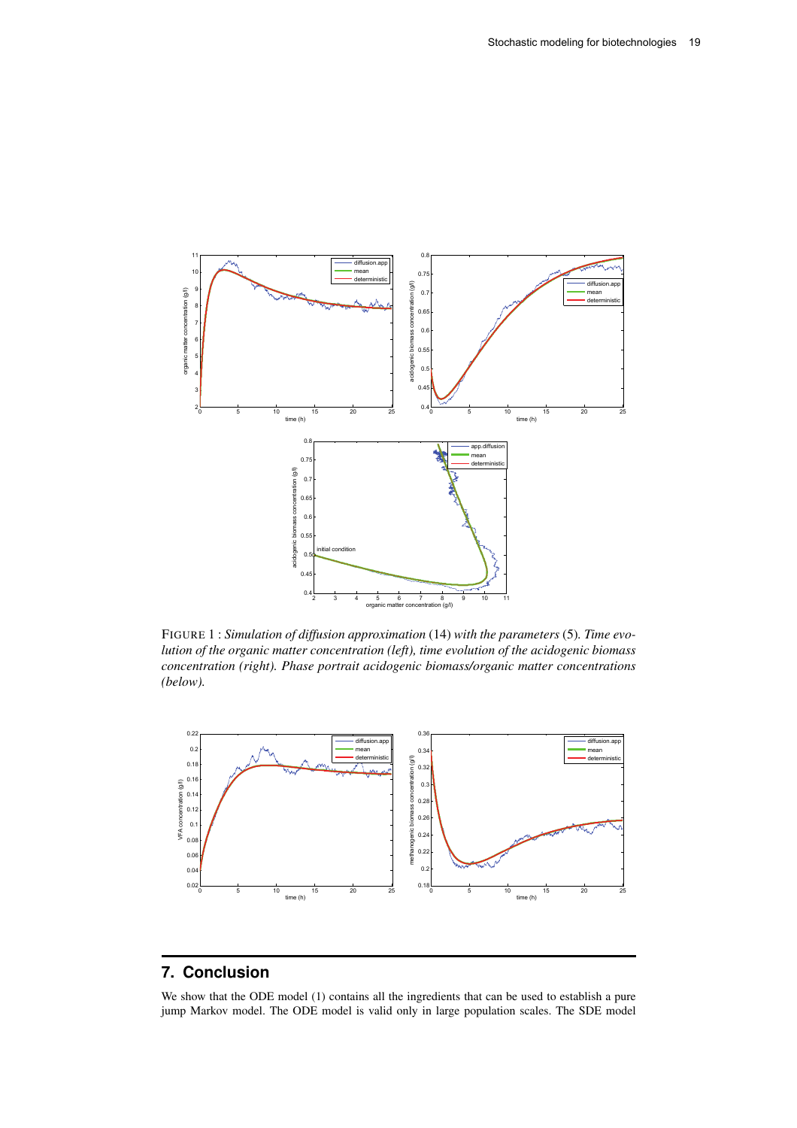

FIGURE 1 : *Simulation of diffusion approximation* (14) *with the parameters* (5)*. Time evolution of the organic matter concentration (left), time evolution of the acidogenic biomass concentration (right). Phase portrait acidogenic biomass/organic matter concentrations (below).*



# **7. Conclusion**

We show that the ODE model (1) contains all the ingredients that can be used to establish a pure jump Markov model. The ODE model is valid only in large population scales. The SDE model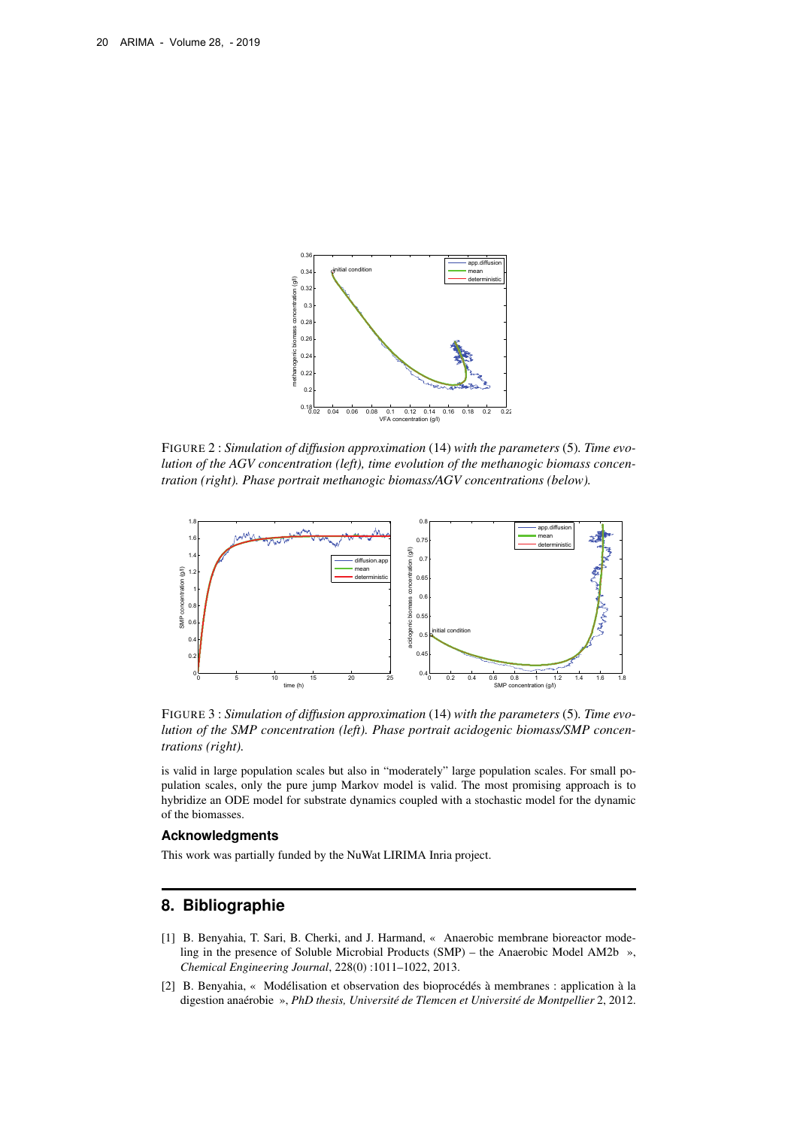

FIGURE 2 : *Simulation of diffusion approximation* (14) *with the parameters* (5)*. Time evolution of the AGV concentration (left), time evolution of the methanogic biomass concentration (right). Phase portrait methanogic biomass/AGV concentrations (below).*



FIGURE 3 : *Simulation of diffusion approximation* (14) *with the parameters* (5)*. Time evolution of the SMP concentration (left). Phase portrait acidogenic biomass/SMP concentrations (right).*

is valid in large population scales but also in "moderately" large population scales. For small population scales, only the pure jump Markov model is valid. The most promising approach is to hybridize an ODE model for substrate dynamics coupled with a stochastic model for the dynamic of the biomasses.

#### **Acknowledgments**

This work was partially funded by the NuWat LIRIMA Inria project.

# **8. Bibliographie**

- [1] B. Benyahia, T. Sari, B. Cherki, and J. Harmand, « Anaerobic membrane bioreactor modeling in the presence of Soluble Microbial Products (SMP) – the Anaerobic Model AM2b », *Chemical Engineering Journal*, 228(0) :1011–1022, 2013.
- [2] B. Benyahia, « Modélisation et observation des bioprocédés à membranes : application à la digestion anaérobie », *PhD thesis, Université de Tlemcen et Université de Montpellier* 2, 2012.